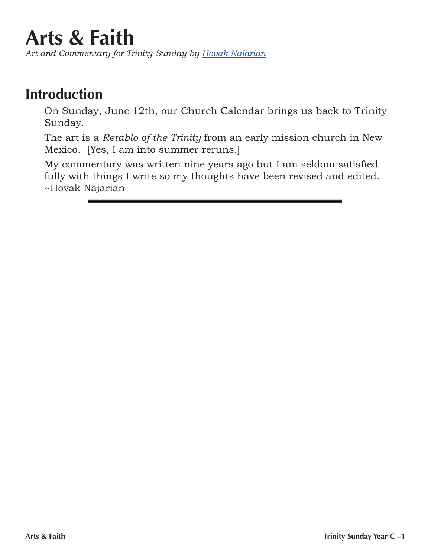## **Arts & Faith**

*Art and Commentary for Trinity Sunday by Hovak Najarian*

## **Introduction**

On Sunday, June 12th, our Church Calendar brings us back to Trinity Sunday.

The art is a *Retablo of the Trinity* from an early mission church in New Mexico. [Yes, I am into summer reruns.]

My commentary was written nine years ago but I am seldom satisfied fully with things I write so my thoughts have been revised and edited. ~Hovak Najarian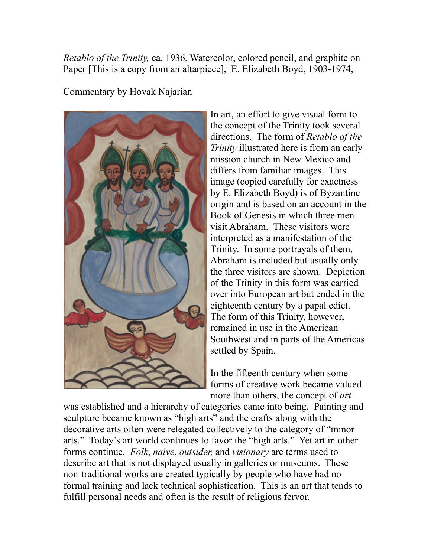*Retablo of the Trinity,* ca. 1936, Watercolor, colored pencil, and graphite on Paper [This is a copy from an altarpiece], E. Elizabeth Boyd, 1903-1974,

Commentary by Hovak Najarian



In art, an effort to give visual form to the concept of the Trinity took several directions. The form of *Retablo of the Trinity* illustrated here is from an early mission church in New Mexico and differs from familiar images. This image (copied carefully for exactness by E. Elizabeth Boyd) is of Byzantine origin and is based on an account in the Book of Genesis in which three men visit Abraham. These visitors were interpreted as a manifestation of the Trinity. In some portrayals of them, Abraham is included but usually only the three visitors are shown. Depiction of the Trinity in this form was carried over into European art but ended in the eighteenth century by a papal edict. The form of this Trinity, however, remained in use in the American Southwest and in parts of the Americas settled by Spain.

In the fifteenth century when some forms of creative work became valued more than others, the concept of *art*

was established and a hierarchy of categories came into being. Painting and sculpture became known as "high arts" and the crafts along with the decorative arts often were relegated collectively to the category of "minor arts." Today's art world continues to favor the "high arts." Yet art in other forms continue. *Folk*, *naïve*, *outsider,* and *visionary* are terms used to describe art that is not displayed usually in galleries or museums. These non-traditional works are created typically by people who have had no formal training and lack technical sophistication. This is an art that tends to fulfill personal needs and often is the result of religious fervor.